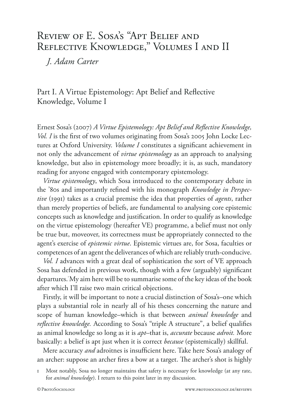# Review of E. Sosa's "Apt Belief and Reflective Knowledge," Volumes I and II

*J. Adam Carter* 

Part I. A Virtue Epistemology: Apt Belief and Reflective Knowledge, Volume I

Ernest Sosa's (2007) *A Virtue Epistemology: Apt Belief and Reflective Knowledge, Vol. I* is the first of two volumes originating from Sosa's 2005 John Locke Lectures at Oxford University. *Volume I* constitutes a significant achievement in not only the advancement of *virtue epistemology* as an approach to analysing knowledge, but also in epistemology more broadly; it is, as such, mandatory reading for anyone engaged with contemporary epistemology.

*Virtue epistemology*, which Sosa introduced to the contemporary debate in the '80s and importantly refined with his monograph *Knowledge in Perspective* (1991) takes as a crucial premise the idea that properties of *agents*, rather than merely properties of beliefs, are fundamental to analysing core epistemic concepts such as knowledge and justification. In order to qualify as knowledge on the virtue epistemology (hereafter VE) programme, a belief must not only be true but, moveover, its correctness must be appropriately connected to the agent's exercise of *epistemic virtue*. Epistemic virtues are, for Sosa, faculties or competences of an agent the deliverances of which are reliably truth-conducive.

*Vol. I* advances with a great deal of sophistication the sort of VE approach Sosa has defended in previous work, though with a few (arguably) significant departures.1 My aim here will be to summarise some of the key ideas of the book after which I'll raise two main critical objections.

Firstly, it will be important to note a crucial distinction of Sosa's–one which plays a substantial role in nearly all of his theses concerning the nature and scope of human knowledge–which is that between *animal knowledge* and *reflective knowledge.* According to Sosa's "triple A structure", a belief qualifies as animal knowledge so long as it is *apt*–that is, *accurate* because *adroit.* More basically: a belief is apt just when it is correct *because* (epistemically) skillful.

Mere accuracy *and* adroitnes is insufficient here. Take here Sosa's analogy of an archer: suppose an archer fires a bow at a target. The archer's shot is highly

Most notably, Sosa no longer maintains that safety is necessary for knowledge (at any rate, for *animal knowledge*). I return to this point later in my discussion.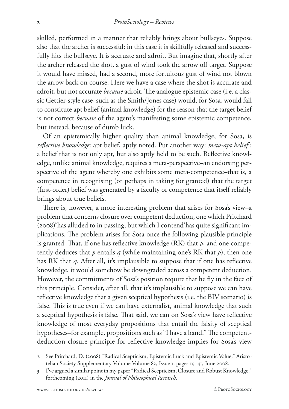skilled, performed in a manner that reliably brings about bullseyes. Suppose also that the archer is successful: in this case it is skillfully released and successfully hits the bullseye. It is accruate and adroit. But imagine that, shortly after the archer released the shot, a gust of wind took the arrow off target. Suppose it would have missed, had a second, more fortuitous gust of wind not blown the arrow back on course. Here we have a case where the shot is accurate and adroit, but not accurate *because* adroit. The analogue epistemic case (i.e. a classic Gettier-style case, such as the Smith/Jones case) would, for Sosa, would fail to constitute apt belief (animal knowledge) for the reason that the target belief is not correct *becuase* of the agent's manifesting some epistemic competence, but instead, because of dumb luck.

Of an epistemically higher quality than animal knowledge, for Sosa, is *reflective knowledge*: apt belief, aptly noted. Put another way: *meta-apt belief* : a belief that is not only apt, but also aptly held to be such. Reflective knowledge, unlike animal knowledge, requires a meta-perspective–an endorsing perspective of the agent whereby one exhibits some meta-competence–that is, a competence in recognising (or perhaps in taking for granted) that the target (first-order) belief was generated by a faculty or competence that itself reliably brings about true beliefs.

There is, however, a more interesting problem that arises for Sosa's view–a problem that concerns closure over competent deduction, one which Pritchard  $(2008)^2$  has alluded to in passing, but which I contend<sup>3</sup> has quite significant implications. The problem arises for Sosa once the following plausible principle is granted. That, if one has reflective knowledge (RK) that *p*, and one competently deduces that  $p$  entails  $q$  (while maintaining one's RK that  $p$ ), then one has RK that *q*. After all, it's implausible to suppose that if one has reflective knowledge, it would somehow be downgraded across a competent deduction. However, the commitments of Sosa's position require that he fly in the face of this principle. Consider, after all, that it's implausible to suppose we can have reflective knowledge that a given sceptical hypothesis (i.e. the BIV scenario) is false. This is true even if we can have externalist, animal knowledge that such a sceptical hypothesis is false. That said, we can on Sosa's view have reflective knowledge of most everyday propositions that entail the falsity of sceptical hypotheses–for example, propositions such as "I have a hand." The competentdeduction closure principle for reflective knowledge implies for Sosa's view

<sup>2</sup> See Pritchard, D. (2008) "Radical Scepticism, Epistemic Luck and Epistemic Value," Aristotelian Society Supplementary Volume Volume 82, Issue 1, pages 19–41, June 2008.

<sup>3</sup> I've argued a similar point in my paper "Radical Scepticism, Closure and Robust Knowledge," forthcoming (2011) in the *Journal of Philosophical Research*.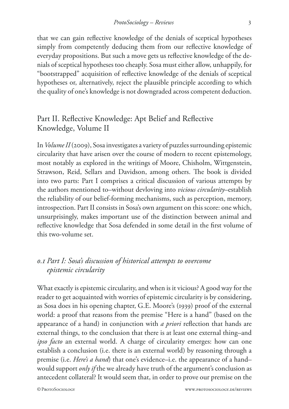that we can gain reflective knowledge of the denials of sceptical hypotheses simply from competently deducing them from our reflective knowledge of everyday propositions. But such a move gets us reflective knowledge of the denials of sceptical hypotheses too cheaply. Sosa must either allow, unhappily, for "bootstrapped" acquisition of reflective knowledge of the denials of sceptical hypotheses or, alternatively, reject the plausible principle according to which the quality of one's knowledge is not downgraded across competent deduction.

## Part II. Reflective Knowledge: Apt Belief and Reflective Knowledge, Volume II

In *Volume II* (2009), Sosa investigates a variety of puzzles surrounding epistemic circularity that have arisen over the course of modern to recent epistemology, most notably as explored in the writings of Moore, Chisholm, Wittgenstein, Strawson, Reid, Sellars and Davidson, among others. The book is divided into two parts: Part I comprises a critical discussion of various attempts by the authors mentioned to–without devloving into *vicious circularity*–establish the reliability of our belief-forming mechanisms, such as perception, memory, introspection. Part II consists in Sosa's own argument on this score: one which, unsurprisingly, makes important use of the distinction between animal and reflective knowledge that Sosa defended in some detail in the first volume of this two-volume set.

### *0.1 Part I: Sosa's discussion of historical attempts to overcome epistemic circularity*

What exactly is epistemic circularity, and when is it vicious? A good way for the reader to get acquainted with worries of epistemic circularity is by considering, as Sosa does in his opening chapter, G.E. Moore's (1939) proof of the external world: a proof that reasons from the premise "Here is a hand" (based on the appearance of a hand) in conjunction with *a priori* reflection that hands are external things, to the conclusion that there is at least one external thing–and *ipso facto* an external world. A charge of circularity emerges: how can one establish a conclusion (i.e. there is an external world) by reasoning through a premise (i.e. *Here's a hand*) that one's evidence–i.e. the appearance of a hand– would support *only if* the we already have truth of the argument's conclusion as antecedent collateral? It would seem that, in order to prove our premise on the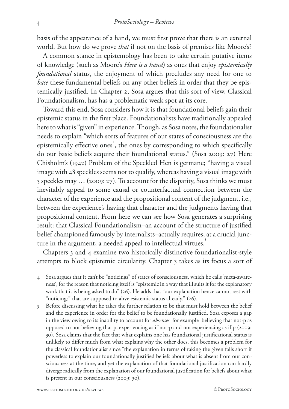basis of the appearance of a hand, we must first prove that there is an external world. But how do we prove *that* if not on the basis of premises like Moore's?

A common stance in epistemology has been to take certain putative items of knowledge (such as Moore's *Here is a hand*) as ones that enjoy *epistemically foundational* status, the enjoyment of which precludes any need for one to *base* these fundamental beliefs on any other beliefs in order that they be epistemically justified. In Chapter 2, Sosa argues that this sort of view, Classical Foundationalism, has has a problematic weak spot at its core.

Toward this end, Sosa considers how it is that foundational beliefs gain their epistemic status in the first place. Foundationalists have traditionally appealed here to what is "given" in experience. Though, as Sosa notes, the foundationalist needs to explain "which sorts of features of our states of consciousness are the epistemically effective ones<sup>4</sup>, the ones by corresponding to which specifically do our basic beliefs acquire their foundational status." (Sosa 2009: 27) Here Chisholm's (1942) Problem of the Speckled Hen is germane; "having a visual image with 48 speckles seems not to qualify, whereas having a visual image with 3 speckles may … (2009: 27). To account for the disparity, Sosa thinks we must inevitably appeal to some causal or counterfactual connection between the character of the experience and the propositional content of the judgment, i.e., between the experience's having that character and the judgments having that propositional content. From here we can see how Sosa generates a surprising result: that Classical Foundationalism–an account of the structure of justified belief championed famously by internalists–actually requires, at a crucial juncture in the argument, a needed appeal to intellectual virtues.

Chapters 3 and 4 examine two historically distinctive foundationalist-style attempts to block epistemic circularity. Chapter 3 takes as its focus a sort of

- 4 Sosa argues that it can't be "noticings" of states of consciousness, which he calls 'meta-awareness', for the reason that noticing itself is "epistemic in a way that ill suits it for the explanatory work that it is being asked to do" (26). He adds that "our explanation hence cannot rest with "noticings" that are supposed to ahve esistemic status already." (26).
- 5 Before discussing what he takes the further relation to be that must hold between the belief and the experience in order for the belief to be foundationally justified, Sosa exposes a gap in the view owing to its inability to account for *absenses*–for example–believing that not-p as opposed to not believing that p, experiencing as if not-p and not experiencing as if p (2009: 30). Sosa claims that the fact that what explains one has foundational justificational status is unlikely to differ much from what explains why the other does, this becomes a problem for the classical foundationalist since "the explanation in terms of taking the given falls short if powerless to explain our foundationally justified beliefs about what is absent from our consciousness at the time, and yet the explanation of that foundational justification can hardly diverge radically from the explanation of our foundational justification for beliefs about what is present in our consciousness (2009: 30).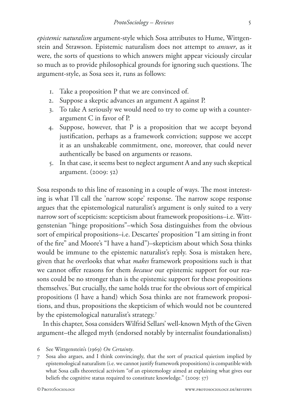*epistemic naturalism* argument-style which Sosa attributes to Hume, Wittgenstein and Strawson. Epistemic naturalism does not attempt to *answer*, as it were, the sorts of questions to which answers might appear viciously circular so much as to provide philosophical grounds for ignoring such questions. The argument-style, as Sosa sees it, runs as follows:

- 1. Take a proposition P that we are convinced of.
- 2. Suppose a skeptic advances an argument A against P.
- 3. To take A seriously we would need to try to come up with a counterargument C in favor of P.
- 4. Suppose, however, that P is a proposition that we accept beyond justification, perhaps as a framework conviction; suppose we accept it as an unshakeable commitment, one, moreover, that could never authentically be based on arguments or reasons.
- 5. In that case, it seems best to neglect argument A and any such skeptical argument. (2009: 52)

Sosa responds to this line of reasoning in a couple of ways. The most interesting is what I'll call the 'narrow scope' response. The narrow scope response argues that the epistemological naturalist's argument is only suited to a very narrow sort of scepticism: scepticism about framework propositions–i.e. Wittgenstenian "hinge propositions"–which Sosa distinguishes from the obvious sort of empirical propositions–i.e. Descartes' proposition "I am sitting in front of the fire" and Moore's "I have a hand")–skepticism about which Sosa thinks would be immune to the epistemic naturalist's reply. Sosa is mistaken here, given that he overlooks that what *makes* framework propositions such is that we cannot offer reasons for them *because* our epistemic support for our reasons could be no stronger than is the epistemic support for these propositions themselves. But crucially, the same holds true for the obvious sort of empirical propositions (I have a hand) which Sosa thinks are not framework propositions, and thus, propositions the skepticism of which would not be countered by the epistemological naturalist's strategy.<sup>7</sup>

In this chapter, Sosa considers Wilfrid Sellars' well-known Myth of the Given argument–the alleged myth (endorsed notably by internalist foundationalists)

<sup>6</sup> See Wittgenstein's (1969) *On Certainty*.

<sup>7</sup> Sosa also argues, and I think convincingly, that the sort of practical quietism implied by epistemological naturalism (i.e. we cannot justify framework propositions) is compatible with what Sosa calls theoretical activism "of an epistemology aimed at explaining what gives our beliefs the cognitive status required to constitute knowledge." (2009: 57)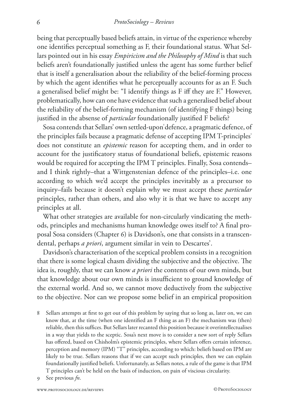being that perceptually based beliefs attain, in virtue of the experience whereby one identifies perceptual something as F, their foundational status. What Sellars pointed out in his essay *Empiricism and the Philosophy of Mind* is that such beliefs aren't foundationally justified unless the agent has some further belief that is itself a generalisation about the reliability of the belief-forming process by which the agent identifies what he perceptually accounts for as an F. Such a generalised belief might be: "I identify things as F iff they are F." However, problematically, how can one have evidence that such a generalised belief about the reliability of the belief-forming mechanism (of identifying F things) being justified in the absense of *particular* foundationally justified F beliefs?

Sosa contends that Sellars' own settled-upon defence, a pragmatic defence, of the principles fails because a pragmatic defense of accepting IPM T-principles<sup>7</sup> does not constitute an *epistemic* reason for accepting them, and in order to account for the justificatory status of foundational beliefs, epistemic reasons would be required for accepting the IPM T principles. Finally, Sosa contends– and I think rightly–that a Wittgenstenian defence of the principles–i.e. one according to which we'd accept the principles inevitably as a precursor to inquiry–fails because it doesn't explain why we must accept these *particular*  principles, rather than others, and also why it is that we have to accept any principles at all.

What other strategies are available for non-circularly vindicating the methods, principles and mechanisms human knowledge owes itself to? A final proposal Sosa considers (Chapter 6) is Davidson's, one that consists in a transcendental, perhaps *a priori*, argument similar in vein to Descartes'.

Davidson's characterisation of the sceptical problem consists in a recognition that there is some logical chasm dividing the subjective and the objective. The idea is, roughly, that we can know *a priori* the contents of our own minds, but that knowledge about our own minds is insufficient to ground knowledge of the external world. And so, we cannot move deductively from the subjective to the objective. Nor can we propose some belief in an empirical proposition

- 8 Sellars attempts at first to get out of this problem by saying that so long as, later on, we can know that, at the time (when one identified an F thing as an F) the mechanism was (then) reliable, then this suffices. But Sellars later recanted this position because it overintellectualises in a way that yields to the sceptic. Sosa's next move is to consider a new sort of reply Sellars has offered, based on Chisholm's epistemic principles, where Sellars offers certain inference, perception and memory (IPM) "T" principles, according to which: beliefs based on IPM are likely to be true. Sellars reasons that if we can accept such principles, then we can explain foundationally justified beliefs. Unfortunately, as Sellars notes, a rule of the game is that IPM T principles can't be held on the basis of induction, on pain of viscious circularity.
- 9 See previous *fn*.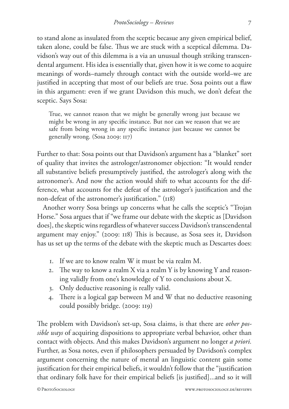to stand alone as insulated from the sceptic becasue any given empirical belief, taken alone, could be false. Thus we are stuck with a sceptical dilemma. Davidson's way out of this dilemma is a via an unusual though striking transcendental argument. His idea is essentially that, given how it is we come to acquire meanings of words–namely through contact with the outside world–we are justified in accepting that most of our beliefs are true. Sosa points out a flaw in this argument: even if we grant Davidson this much, we don't defeat the sceptic. Says Sosa:

True, we cannot reason that we might be generally wrong just because we might be wrong in any specific instance. But nor can we reason that we are safe from being wrong in any specific instance just because we cannot be generally wrong. (Sosa 2009: 117)

Further to that: Sosa points out that Davidson's argument has a "blanket" sort of quality that invites the astrologer/astronomer objection: "It would render all substantive beliefs presumptively justified, the astrologer's along with the astronomer's. And now the action would shift to what accounts for the difference, what accounts for the defeat of the astrologer's justification and the non-defeat of the astronomer's justification." (118)

Another worry Sosa brings up concerns what he calls the sceptic's "Trojan Horse." Sosa argues that if "we frame our debate with the skeptic as [Davidson does], the skeptic wins regardless of whatever success Davidson's transcendental argument may enjoy." (2009: 118) This is because, as Sosa sees it, Davidson has us set up the terms of the debate with the skeptic much as Descartes does:

- 1. If we are to know realm W it must be via realm M.
- 2. The way to know a realm X via a realm Y is by knowing Y and reasoning validly from one's knowledge of Y to conclusions about X.
- 3. Only deductive reasoning is really valid.
- 4. There is a logical gap between M and W that no deductive reasoning could possibly bridge. (2009: 119)

The problem with Davidson's set-up, Sosa claims, is that there are *other possible ways* of acquiring dispositions to appropriate verbal behavior, other than contact with objects. And this makes Davidson's argument no longer *a priori.*  Further, as Sosa notes, even if philosophers persuaded by Davidson's complex argument concerning the nature of mental an linguistic content gain some justification for their empirical beliefs, it wouldn't follow that the "justification that ordinary folk have for their empirical beliefs [is justified]...and so it will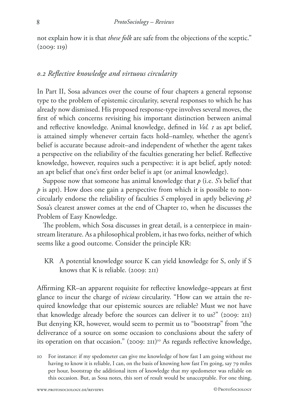not explain how it is that *these folk* are safe from the objections of the sceptic." (2009: 119)

#### *0.2 Reflective knowledge and virtuous circularity*

In Part II, Sosa advances over the course of four chapters a general repsonse type to the problem of epistemic circularity, several responses to which he has already now dismissed. His proposed response-type involves several moves, the first of which concerns revisiting his important distinction between animal and reflective knowledge. Animal knowledge, defined in *Vol. 1* as apt belief, is attained simply whenever certain facts hold–namley, whether the agent's belief is accurate because adroit–and independent of whether the agent takes a perspective on the reliability of the faculties generating her belief. Reflective knowledge, however, requires such a perspective: it is apt belief, aptly noted: an apt belief that one's first order belief is apt (or animal knowledge).

Suppose now that someone has animal knowledge that *p* (i.e. *S*'s belief that *p* is apt). How does one gain a perspective from which it is possible to noncircularly endorse the reliability of faculties *S* employed in aptly believing *p*? Sosa's clearest answer comes at the end of Chapter 10, when he discusses the Problem of Easy Knowledge.

The problem, which Sosa discusses in great detail, is a centerpiece in mainstream literature. As a philosophical problem, it has two forks, neither of which seems like a good outcome. Consider the principle KR:

KR A potential knowledge source K can yield knowledge for S, only if S knows that K is reliable. (2009: 211)

Affirming KR–an apparent requisite for reflective knowledge–appears at first glance to incur the charge of *vicious* circularity. "How can we attain the required knowledge that our epistemic sources are reliable? Must we not have that knowledge already before the sources can deliver it to us?" (2009: 211) But denying KR, however, would seem to permit us to "bootstrap" from "the deliverance of a source on some occasion to conclusions about the safety of its operation on that occasion." (2009: 211)<sup>10</sup> As regards reflective knowledge,

<sup>10</sup> For instance: if my spedometer can give me knowledge of how fast I am going without me having to know it is reliable, I can, on the basis of knowing how fast I'm going, say 79 miles per hour, bootstrap the additional item of knowledge that my spedometer was reliable on this occasion. But, as Sosa notes, this sort of result would be unacceptable. For one thing,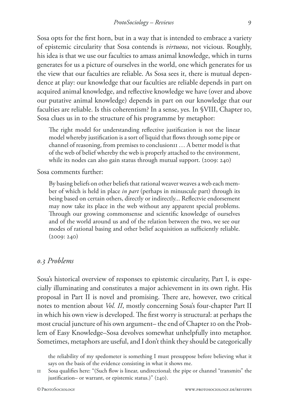Sosa opts for the first horn, but in a way that is intended to embrace a variety of epistemic circularity that Sosa contends is *virtuous*, not vicious. Roughly, his idea is that we use our faculties to amass animal knowledge, which in turns generates for us a picture of ourselves in the world, one which generates for us the view that our faculties are reliable. As Sosa sees it, there is mutual dependence at play: our knowledge that our faculties are reliable depends in part on acquired animal knowledge, and reflective knowledge we have (over and above our putative animal knowledge) depends in part on our knowledge that our faculties are reliable. Is this coherentism? In a sense, yes. In §VIII, Chapter 10, Sosa clues us in to the structure of his programme by metaphor:

The right model for understanding reflective justification is not the linear model whereby justification is a sort of liquid that flows through some pipe or channel of reasoning, from premises to conclusion $II$  ... A better model is that of the web of belief whereby the web is properly attached to the environment, while its nodes can also gain status through mutual support. (2009: 240)

Sosa comments further:

By basing beliefs on other beliefs that rational weaver weaves a web each member of which is held in place *in part* (perhaps in minuscule part) through its being based on certain others, directly or indirectly... Reflectvie endorsement may now take its place in the web without any apparent special problems. Through our growing commonsense and scientific knowledge of ourselves and of the world around us and of the relation between the two, we see our modes of rational basing and other belief acquisition as sufficiently reliable. (2009: 240)

#### *0.3 Problems*

Sosa's historical overview of responses to epistemic circularity, Part I, is especially illuminating and constitutes a major achievement in its own right. His proposal in Part II is novel and promising. There are, however, two critical notes to mention about *Vol. II*, mostly concerning Sosa's four-chapter Part II in which his own view is developed. The first worry is structural: at perhaps the most crucial juncture of his own argument– the end of Chapter 10 on the Problem of Easy Knowledge–Sosa devolves somewhat unhelpfully into metaphor. Sometimes, metaphors are useful, and I don't think they should be categorically

the reliability of my spedometer is something I must presuppose before believing what it says on the basis of the evidence consisting in what it shows me.

<sup>11</sup> Sosa qualifies here: "(Such flow is linear, undirectional; the pipe or channel "transmits" the justification– or warrant, or epistemic status.)" (240).